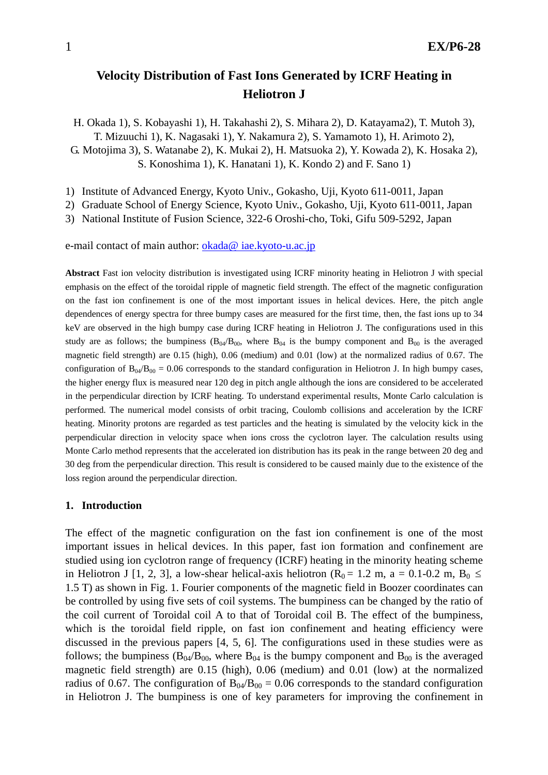# **Velocity Distribution of Fast Ions Generated by ICRF Heating in Heliotron J**

H. Okada 1), S. Kobayashi 1), H. Takahashi 2), S. Mihara 2), D. Katayama2), T. Mutoh 3), T. Mizuuchi 1), K. Nagasaki 1), Y. Nakamura 2), S. Yamamoto 1), H. Arimoto 2), G. Motojima 3), S. Watanabe 2), K. Mukai 2), H. Matsuoka 2), Y. Kowada 2), K. Hosaka 2), S. Konoshima 1), K. Hanatani 1), K. Kondo 2) and F. Sano 1)

1) Institute of Advanced Energy, Kyoto Univ., Gokasho, Uji, Kyoto 611-0011, Japan

2) Graduate School of Energy Science, Kyoto Univ., Gokasho, Uji, Kyoto 611-0011, Japan

3) National Institute of Fusion Science, 322-6 Oroshi-cho, Toki, Gifu 509-5292, Japan

e-mail contact of main author: okada@ iae.kyoto-u.ac.jp

**Abstract** Fast ion velocity distribution is investigated using ICRF minority heating in Heliotron J with special emphasis on the effect of the toroidal ripple of magnetic field strength. The effect of the magnetic configuration on the fast ion confinement is one of the most important issues in helical devices. Here, the pitch angle dependences of energy spectra for three bumpy cases are measured for the first time, then, the fast ions up to 34 keV are observed in the high bumpy case during ICRF heating in Heliotron J. The configurations used in this study are as follows; the bumpiness  $(B<sub>04</sub>/B<sub>00</sub>)$ , where  $B<sub>04</sub>$  is the bumpy component and  $B<sub>00</sub>$  is the averaged magnetic field strength) are 0.15 (high), 0.06 (medium) and 0.01 (low) at the normalized radius of 0.67. The configuration of  $B_{04}/B_{00} = 0.06$  corresponds to the standard configuration in Heliotron J. In high bumpy cases, the higher energy flux is measured near 120 deg in pitch angle although the ions are considered to be accelerated in the perpendicular direction by ICRF heating. To understand experimental results, Monte Carlo calculation is performed. The numerical model consists of orbit tracing, Coulomb collisions and acceleration by the ICRF heating. Minority protons are regarded as test particles and the heating is simulated by the velocity kick in the perpendicular direction in velocity space when ions cross the cyclotron layer. The calculation results using Monte Carlo method represents that the accelerated ion distribution has its peak in the range between 20 deg and 30 deg from the perpendicular direction. This result is considered to be caused mainly due to the existence of the loss region around the perpendicular direction.

#### **1. Introduction**

The effect of the magnetic configuration on the fast ion confinement is one of the most important issues in helical devices. In this paper, fast ion formation and confinement are studied using ion cyclotron range of frequency (ICRF) heating in the minority heating scheme in Heliotron J [1, 2, 3], a low-shear helical-axis heliotron ( $R_0 = 1.2$  m, a = 0.1-0.2 m,  $B_0 \le$ 1.5 T) as shown in Fig. 1. Fourier components of the magnetic field in Boozer coordinates can be controlled by using five sets of coil systems. The bumpiness can be changed by the ratio of the coil current of Toroidal coil A to that of Toroidal coil B. The effect of the bumpiness, which is the toroidal field ripple, on fast ion confinement and heating efficiency were discussed in the previous papers [4, 5, 6]. The configurations used in these studies were as follows; the bumpiness ( $B_{04}/B_{00}$ , where  $B_{04}$  is the bumpy component and  $B_{00}$  is the averaged magnetic field strength) are 0.15 (high), 0.06 (medium) and 0.01 (low) at the normalized radius of 0.67. The configuration of  $B_{04}/B_{00} = 0.06$  corresponds to the standard configuration in Heliotron J. The bumpiness is one of key parameters for improving the confinement in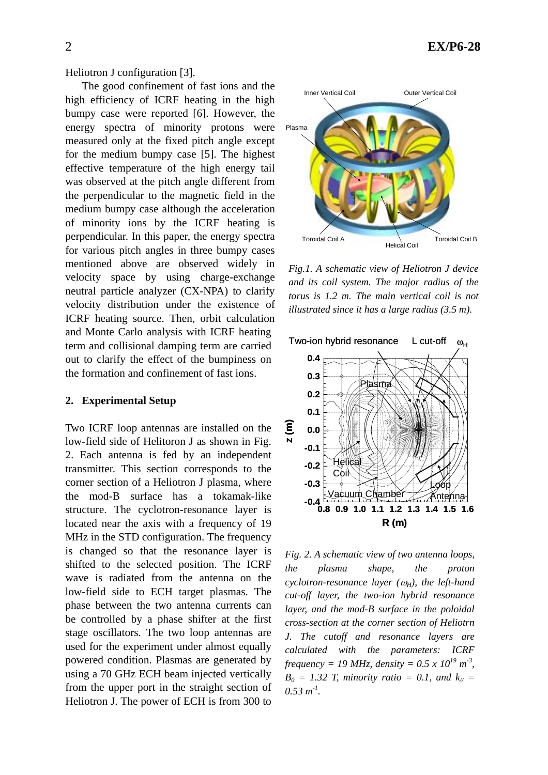Heliotron J configuration [3].

The good confinement of fast ions and the high efficiency of ICRF heating in the high bumpy case were reported [6]. However, the energy spectra of minority protons were measured only at the fixed pitch angle except for the medium bumpy case [5]. The highest effective temperature of the high energy tail was observed at the pitch angle different from the perpendicular to the magnetic field in the medium bumpy case although the acceleration of minority ions by the ICRF heating is perpendicular. In this paper, the energy spectra for various pitch angles in three bumpy cases mentioned above are observed widely in velocity space by using charge-exchange neutral particle analyzer (CX-NPA) to clarify velocity distribution under the existence of ICRF heating source. Then, orbit calculation and Monte Carlo analysis with ICRF heating term and collisional damping term are carried out to clarify the effect of the bumpiness on the formation and confinement of fast ions.

#### **2. Experimental Setup**

Two ICRF loop antennas are installed on the low-field side of Helitoron J as shown in Fig. 2. Each antenna is fed by an independent transmitter. This section corresponds to the corner section of a Heliotron J plasma, where the mod-B surface has a tokamak-like structure. The cyclotron-resonance layer is located near the axis with a frequency of 19 MHz in the STD configuration. The frequency is changed so that the resonance layer is shifted to the selected position. The ICRF wave is radiated from the antenna on the low-field side to ECH target plasmas. The phase between the two antenna currents can be controlled by a phase shifter at the first stage oscillators. The two loop antennas are used for the experiment under almost equally powered condition. Plasmas are generated by using a 70 GHz ECH beam injected vertically from the upper port in the straight section of Heliotron J. The power of ECH is from 300 to



*Fig.1. A schematic view of Heliotron J device and its coil system. The major radius of the torus is 1.2 m. The main vertical coil is not illustrated since it has a large radius (3.5 m).* 



*Fig. 2. A schematic view of two antenna loops, the plasma shape, the proton*   $c$ *yclotron-resonance layer* ( $\omega_H$ ), the left-hand *cut-off layer, the two-ion hybrid resonance layer, and the mod-B surface in the poloidal cross-section at the corner section of Heliotrn J. The cutoff and resonance layers are calculated with the parameters: ICRF frequency = 19 MHz, density =*  $0.5 \times 10^{19} \text{ m}^3$ *,*  $B_0 = 1.32$  *T, minority ratio = 0.1, and k<sub>//</sub> =*  $0.53 m<sup>-1</sup>$ .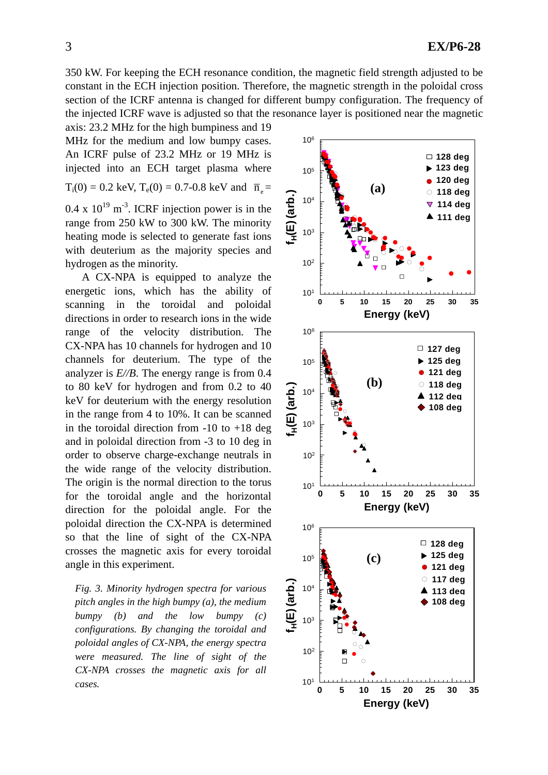350 kW. For keeping the ECH resonance condition, the magnetic field strength adjusted to be constant in the ECH injection position. Therefore, the magnetic strength in the poloidal cross section of the ICRF antenna is changed for different bumpy configuration. The frequency of the injected ICRF wave is adjusted so that the resonance layer is positioned near the magnetic axis: 23.2 MHz for the high bumpiness and 19

MHz for the medium and low bumpy cases. An ICRF pulse of 23.2 MHz or 19 MHz is injected into an ECH target plasma where  $T_i(0) = 0.2$  keV,  $T_e(0) = 0.7$ -0.8 keV and  $\bar{n}_e$  $0.4 \times 10^{19}$  m<sup>-3</sup>. ICRF injection power is in the range from 250 kW to 300 kW. The minority heating mode is selected to generate fast ions with deuterium as the majority species and hydrogen as the minority.

A CX-NPA is equipped to analyze the energetic ions, which has the ability of scanning in the toroidal and poloidal directions in order to research ions in the wide range of the velocity distribution. The CX-NPA has 10 channels for hydrogen and 10 channels for deuterium. The type of the analyzer is *E//B*. The energy range is from 0.4 to 80 keV for hydrogen and from 0.2 to 40 keV for deuterium with the energy resolution in the range from 4 to 10%. It can be scanned in the toroidal direction from  $-10$  to  $+18$  deg and in poloidal direction from -3 to 10 deg in order to observe charge-exchange neutrals in the wide range of the velocity distribution. The origin is the normal direction to the torus for the toroidal angle and the horizontal direction for the poloidal angle. For the poloidal direction the CX-NPA is determined so that the line of sight of the CX-NPA crosses the magnetic axis for every toroidal angle in this experiment.

*Fig. 3. Minority hydrogen spectra for various pitch angles in the high bumpy (a), the medium bumpy (b) and the low bumpy (c) configurations. By changing the toroidal and poloidal angles of CX-NPA, the energy spectra were measured. The line of sight of the CX-NPA crosses the magnetic axis for all cases.* 

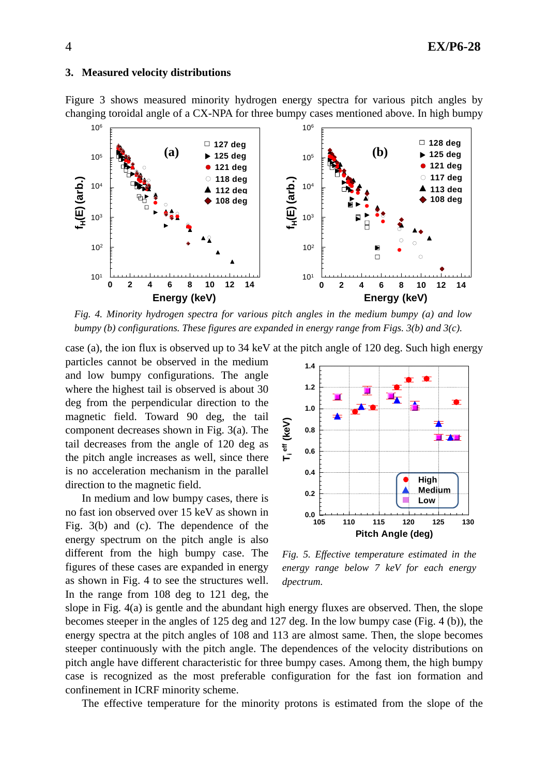#### **3. Measured velocity distributions**

Figure 3 shows measured minority hydrogen energy spectra for various pitch angles by changing toroidal angle of a CX-NPA for three bumpy cases mentioned above. In high bumpy



*Fig. 4. Minority hydrogen spectra for various pitch angles in the medium bumpy (a) and low bumpy (b) configurations. These figures are expanded in energy range from Figs. 3(b) and 3(c).* 

case (a), the ion flux is observed up to 34 keV at the pitch angle of 120 deg. Such high energy

particles cannot be observed in the medium and low bumpy configurations. The angle where the highest tail is observed is about 30 deg from the perpendicular direction to the magnetic field. Toward 90 deg, the tail component decreases shown in Fig. 3(a). The tail decreases from the angle of 120 deg as the pitch angle increases as well, since there is no acceleration mechanism in the parallel direction to the magnetic field.

In medium and low bumpy cases, there is no fast ion observed over 15 keV as shown in Fig. 3(b) and (c). The dependence of the energy spectrum on the pitch angle is also different from the high bumpy case. The figures of these cases are expanded in energy as shown in Fig. 4 to see the structures well. In the range from 108 deg to 121 deg, the



*Fig. 5. Effective temperature estimated in the energy range below 7 keV for each energy dpectrum.* 

slope in Fig. 4(a) is gentle and the abundant high energy fluxes are observed. Then, the slope becomes steeper in the angles of 125 deg and 127 deg. In the low bumpy case (Fig. 4 (b)), the energy spectra at the pitch angles of 108 and 113 are almost same. Then, the slope becomes steeper continuously with the pitch angle. The dependences of the velocity distributions on pitch angle have different characteristic for three bumpy cases. Among them, the high bumpy case is recognized as the most preferable configuration for the fast ion formation and confinement in ICRF minority scheme.

The effective temperature for the minority protons is estimated from the slope of the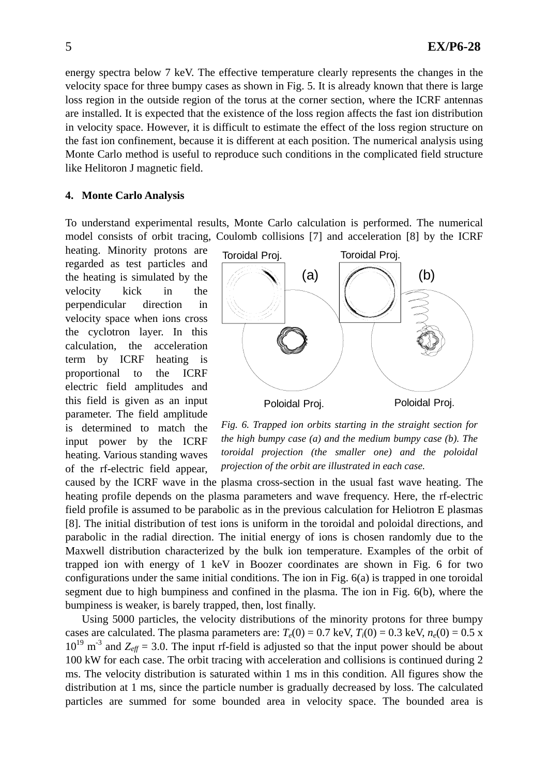energy spectra below 7 keV. The effective temperature clearly represents the changes in the velocity space for three bumpy cases as shown in Fig. 5. It is already known that there is large loss region in the outside region of the torus at the corner section, where the ICRF antennas are installed. It is expected that the existence of the loss region affects the fast ion distribution in velocity space. However, it is difficult to estimate the effect of the loss region structure on the fast ion confinement, because it is different at each position. The numerical analysis using Monte Carlo method is useful to reproduce such conditions in the complicated field structure like Helitoron J magnetic field.

## **4. Monte Carlo Analysis**

To understand experimental results, Monte Carlo calculation is performed. The numerical model consists of orbit tracing, Coulomb collisions [7] and acceleration [8] by the ICRF

heating. Minority protons are regarded as test particles and the heating is simulated by the velocity kick in the perpendicular direction in velocity space when ions cross the cyclotron layer. In this calculation, the acceleration term by ICRF heating is proportional to the ICRF electric field amplitudes and this field is given as an input parameter. The field amplitude is determined to match the input power by the ICRF heating. Various standing waves of the rf-electric field appear,



*Fig. 6. Trapped ion orbits starting in the straight section for the high bumpy case (a) and the medium bumpy case (b). The toroidal projection (the smaller one) and the poloidal projection of the orbit are illustrated in each case.* 

caused by the ICRF wave in the plasma cross-section in the usual fast wave heating. The heating profile depends on the plasma parameters and wave frequency. Here, the rf-electric field profile is assumed to be parabolic as in the previous calculation for Heliotron E plasmas [8]. The initial distribution of test ions is uniform in the toroidal and poloidal directions, and parabolic in the radial direction. The initial energy of ions is chosen randomly due to the Maxwell distribution characterized by the bulk ion temperature. Examples of the orbit of trapped ion with energy of 1 keV in Boozer coordinates are shown in Fig. 6 for two configurations under the same initial conditions. The ion in Fig. 6(a) is trapped in one toroidal segment due to high bumpiness and confined in the plasma. The ion in Fig. 6(b), where the bumpiness is weaker, is barely trapped, then, lost finally.

Using 5000 particles, the velocity distributions of the minority protons for three bumpy cases are calculated. The plasma parameters are:  $T_e(0) = 0.7$  keV,  $T_i(0) = 0.3$  keV,  $n_e(0) = 0.5$  x  $10^{19}$  m<sup>-3</sup> and  $Z_{\text{eff}}$  = 3.0. The input rf-field is adjusted so that the input power should be about 100 kW for each case. The orbit tracing with acceleration and collisions is continued during 2 ms. The velocity distribution is saturated within 1 ms in this condition. All figures show the distribution at 1 ms, since the particle number is gradually decreased by loss. The calculated particles are summed for some bounded area in velocity space. The bounded area is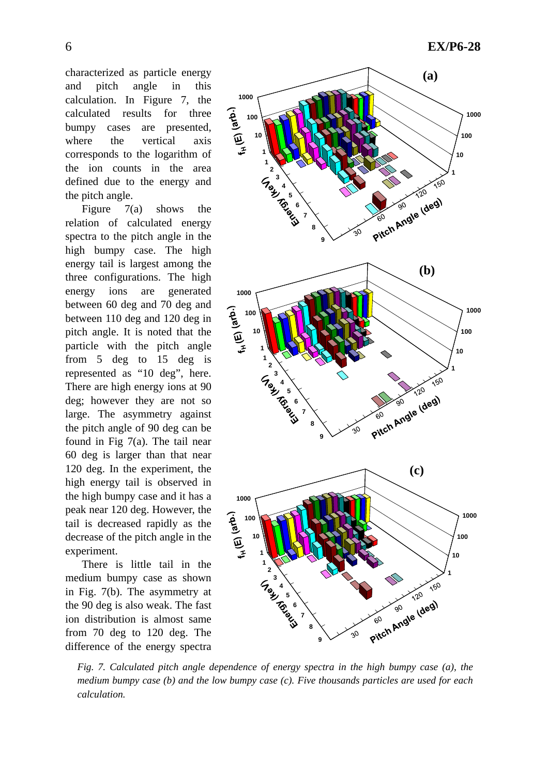characterized as particle energy and pitch angle in this calculation. In Figure 7, the calculated results for three bumpy cases are presented, where the vertical axis corresponds to the logarithm of the ion counts in the area defined due to the energy and the pitch angle.

Figure 7(a) shows the relation of calculated energy spectra to the pitch angle in the high bumpy case. The high energy tail is largest among the three configurations. The high energy ions are generated between 60 deg and 70 deg and between 110 deg and 120 deg in pitch angle. It is noted that the particle with the pitch angle from 5 deg to 15 deg is represented as "10 deg", here. There are high energy ions at 90 deg; however they are not so large. The asymmetry against the pitch angle of 90 deg can be found in Fig 7(a). The tail near 60 deg is larger than that near 120 deg. In the experiment, the high energy tail is observed in the high bumpy case and it has a peak near 120 deg. However, the tail is decreased rapidly as the decrease of the pitch angle in the experiment.

There is little tail in the medium bumpy case as shown in Fig. 7(b). The asymmetry at the 90 deg is also weak. The fast ion distribution is almost same from 70 deg to 120 deg. The difference of the energy spectra



*Fig. 7. Calculated pitch angle dependence of energy spectra in the high bumpy case (a), the medium bumpy case (b) and the low bumpy case (c). Five thousands particles are used for each calculation.*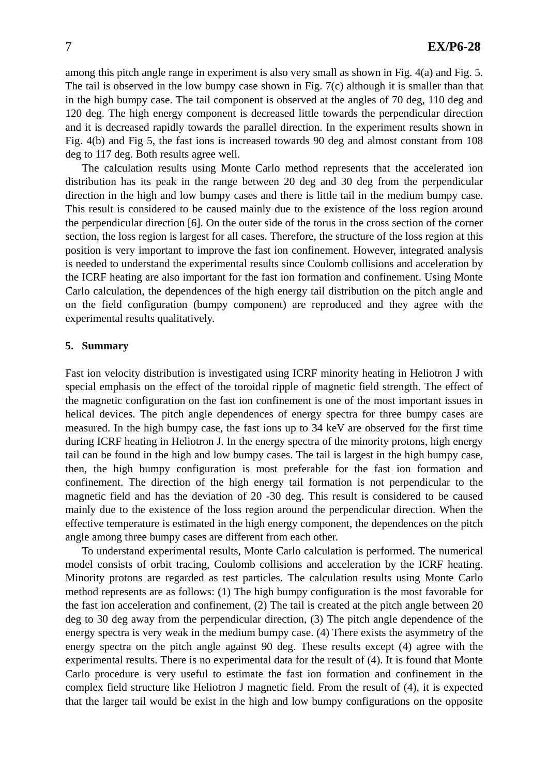among this pitch angle range in experiment is also very small as shown in Fig. 4(a) and Fig. 5. The tail is observed in the low bumpy case shown in Fig. 7(c) although it is smaller than that in the high bumpy case. The tail component is observed at the angles of 70 deg, 110 deg and 120 deg. The high energy component is decreased little towards the perpendicular direction and it is decreased rapidly towards the parallel direction. In the experiment results shown in Fig. 4(b) and Fig 5, the fast ions is increased towards 90 deg and almost constant from 108 deg to 117 deg. Both results agree well.

The calculation results using Monte Carlo method represents that the accelerated ion distribution has its peak in the range between 20 deg and 30 deg from the perpendicular direction in the high and low bumpy cases and there is little tail in the medium bumpy case. This result is considered to be caused mainly due to the existence of the loss region around the perpendicular direction [6]. On the outer side of the torus in the cross section of the corner section, the loss region is largest for all cases. Therefore, the structure of the loss region at this position is very important to improve the fast ion confinement. However, integrated analysis is needed to understand the experimental results since Coulomb collisions and acceleration by the ICRF heating are also important for the fast ion formation and confinement. Using Monte Carlo calculation, the dependences of the high energy tail distribution on the pitch angle and on the field configuration (bumpy component) are reproduced and they agree with the experimental results qualitatively.

## **5. Summary**

Fast ion velocity distribution is investigated using ICRF minority heating in Heliotron J with special emphasis on the effect of the toroidal ripple of magnetic field strength. The effect of the magnetic configuration on the fast ion confinement is one of the most important issues in helical devices. The pitch angle dependences of energy spectra for three bumpy cases are measured. In the high bumpy case, the fast ions up to 34 keV are observed for the first time during ICRF heating in Heliotron J. In the energy spectra of the minority protons, high energy tail can be found in the high and low bumpy cases. The tail is largest in the high bumpy case, then, the high bumpy configuration is most preferable for the fast ion formation and confinement. The direction of the high energy tail formation is not perpendicular to the magnetic field and has the deviation of 20 -30 deg. This result is considered to be caused mainly due to the existence of the loss region around the perpendicular direction. When the effective temperature is estimated in the high energy component, the dependences on the pitch angle among three bumpy cases are different from each other.

To understand experimental results, Monte Carlo calculation is performed. The numerical model consists of orbit tracing, Coulomb collisions and acceleration by the ICRF heating. Minority protons are regarded as test particles. The calculation results using Monte Carlo method represents are as follows: (1) The high bumpy configuration is the most favorable for the fast ion acceleration and confinement, (2) The tail is created at the pitch angle between 20 deg to 30 deg away from the perpendicular direction, (3) The pitch angle dependence of the energy spectra is very weak in the medium bumpy case. (4) There exists the asymmetry of the energy spectra on the pitch angle against 90 deg. These results except (4) agree with the experimental results. There is no experimental data for the result of (4). It is found that Monte Carlo procedure is very useful to estimate the fast ion formation and confinement in the complex field structure like Heliotron J magnetic field. From the result of (4), it is expected that the larger tail would be exist in the high and low bumpy configurations on the opposite